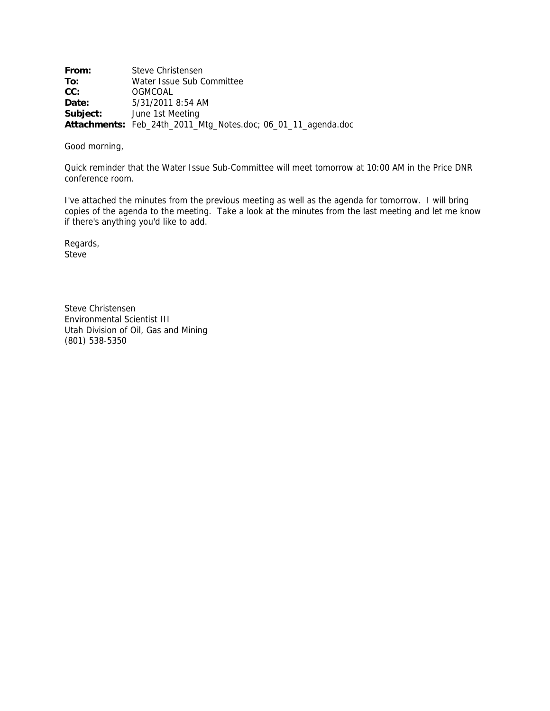**From:** Steve Christensen **To:** Water Issue Sub Committee **CC:** OGMCOAL **Date:** 5/31/2011 8:54 AM **Subject:** June 1st Meeting **Attachments:** Feb\_24th\_2011\_Mtg\_Notes.doc; 06\_01\_11\_agenda.doc

#### Good morning,

Quick reminder that the Water Issue Sub-Committee will meet tomorrow at 10:00 AM in the Price DNR conference room.

I've attached the minutes from the previous meeting as well as the agenda for tomorrow. I will bring copies of the agenda to the meeting. Take a look at the minutes from the last meeting and let me know if there's anything you'd like to add.

Regards, Steve

Steve Christensen Environmental Scientist III Utah Division of Oil, Gas and Mining (801) 538-5350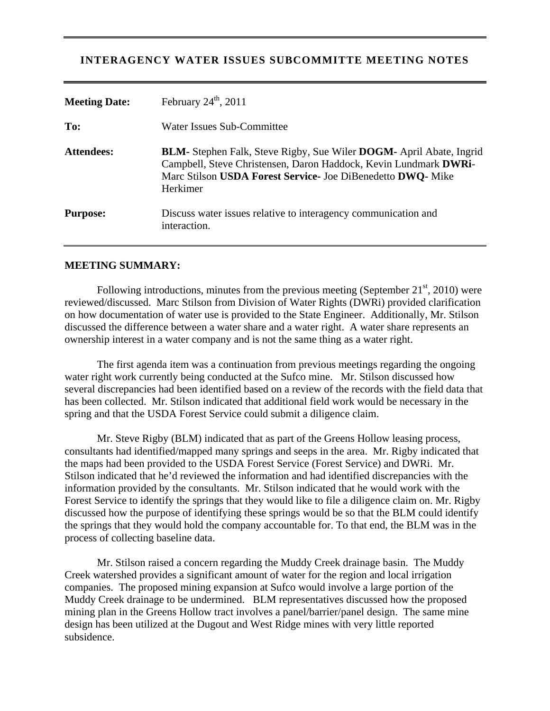# **INTERAGENCY WATER ISSUES SUBCOMMITTE MEETING NOTES**

| <b>Meeting Date:</b> | February $24^{\text{th}}$ , $2011$                                                                                                                                                                                                |
|----------------------|-----------------------------------------------------------------------------------------------------------------------------------------------------------------------------------------------------------------------------------|
| To:                  | Water Issues Sub-Committee                                                                                                                                                                                                        |
| <b>Attendees:</b>    | <b>BLM-</b> Stephen Falk, Steve Rigby, Sue Wiler <b>DOGM</b> - April Abate, Ingrid<br>Campbell, Steve Christensen, Daron Haddock, Kevin Lundmark DWRi-<br>Marc Stilson USDA Forest Service- Joe DiBenedetto DWQ- Mike<br>Herkimer |
| <b>Purpose:</b>      | Discuss water issues relative to interagency communication and<br>interaction.                                                                                                                                                    |

### **MEETING SUMMARY:**

Following introductions, minutes from the previous meeting (September  $21<sup>st</sup>$ , 2010) were reviewed/discussed. Marc Stilson from Division of Water Rights (DWRi) provided clarification on how documentation of water use is provided to the State Engineer. Additionally, Mr. Stilson discussed the difference between a water share and a water right. A water share represents an ownership interest in a water company and is not the same thing as a water right.

 The first agenda item was a continuation from previous meetings regarding the ongoing water right work currently being conducted at the Sufco mine. Mr. Stilson discussed how several discrepancies had been identified based on a review of the records with the field data that has been collected. Mr. Stilson indicated that additional field work would be necessary in the spring and that the USDA Forest Service could submit a diligence claim.

 Mr. Steve Rigby (BLM) indicated that as part of the Greens Hollow leasing process, consultants had identified/mapped many springs and seeps in the area. Mr. Rigby indicated that the maps had been provided to the USDA Forest Service (Forest Service) and DWRi. Mr. Stilson indicated that he'd reviewed the information and had identified discrepancies with the information provided by the consultants. Mr. Stilson indicated that he would work with the Forest Service to identify the springs that they would like to file a diligence claim on. Mr. Rigby discussed how the purpose of identifying these springs would be so that the BLM could identify the springs that they would hold the company accountable for. To that end, the BLM was in the process of collecting baseline data.

 Mr. Stilson raised a concern regarding the Muddy Creek drainage basin. The Muddy Creek watershed provides a significant amount of water for the region and local irrigation companies. The proposed mining expansion at Sufco would involve a large portion of the Muddy Creek drainage to be undermined. BLM representatives discussed how the proposed mining plan in the Greens Hollow tract involves a panel/barrier/panel design. The same mine design has been utilized at the Dugout and West Ridge mines with very little reported subsidence.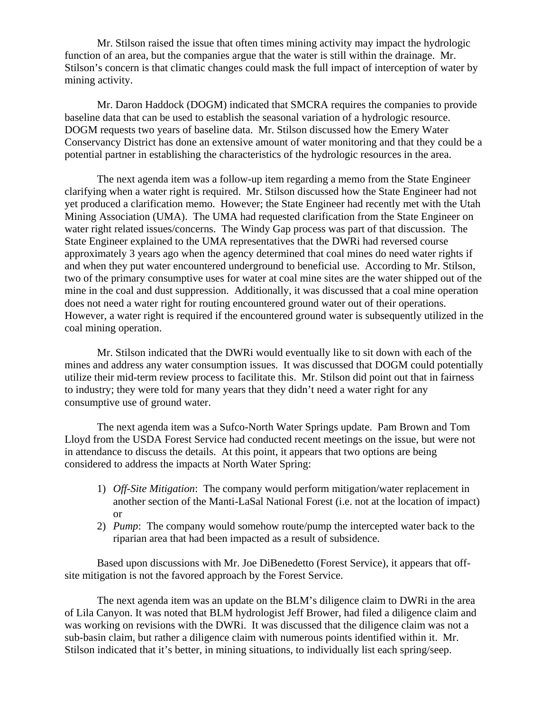Mr. Stilson raised the issue that often times mining activity may impact the hydrologic function of an area, but the companies argue that the water is still within the drainage. Mr. Stilson's concern is that climatic changes could mask the full impact of interception of water by mining activity.

 Mr. Daron Haddock (DOGM) indicated that SMCRA requires the companies to provide baseline data that can be used to establish the seasonal variation of a hydrologic resource. DOGM requests two years of baseline data. Mr. Stilson discussed how the Emery Water Conservancy District has done an extensive amount of water monitoring and that they could be a potential partner in establishing the characteristics of the hydrologic resources in the area.

 The next agenda item was a follow-up item regarding a memo from the State Engineer clarifying when a water right is required. Mr. Stilson discussed how the State Engineer had not yet produced a clarification memo. However; the State Engineer had recently met with the Utah Mining Association (UMA). The UMA had requested clarification from the State Engineer on water right related issues/concerns. The Windy Gap process was part of that discussion. The State Engineer explained to the UMA representatives that the DWRi had reversed course approximately 3 years ago when the agency determined that coal mines do need water rights if and when they put water encountered underground to beneficial use. According to Mr. Stilson, two of the primary consumptive uses for water at coal mine sites are the water shipped out of the mine in the coal and dust suppression. Additionally, it was discussed that a coal mine operation does not need a water right for routing encountered ground water out of their operations. However, a water right is required if the encountered ground water is subsequently utilized in the coal mining operation.

 Mr. Stilson indicated that the DWRi would eventually like to sit down with each of the mines and address any water consumption issues. It was discussed that DOGM could potentially utilize their mid-term review process to facilitate this. Mr. Stilson did point out that in fairness to industry; they were told for many years that they didn't need a water right for any consumptive use of ground water.

 The next agenda item was a Sufco-North Water Springs update. Pam Brown and Tom Lloyd from the USDA Forest Service had conducted recent meetings on the issue, but were not in attendance to discuss the details. At this point, it appears that two options are being considered to address the impacts at North Water Spring:

- 1) *Off-Site Mitigation*: The company would perform mitigation/water replacement in another section of the Manti-LaSal National Forest (i.e. not at the location of impact) or
- 2) *Pump*: The company would somehow route/pump the intercepted water back to the riparian area that had been impacted as a result of subsidence.

Based upon discussions with Mr. Joe DiBenedetto (Forest Service), it appears that offsite mitigation is not the favored approach by the Forest Service.

 The next agenda item was an update on the BLM's diligence claim to DWRi in the area of Lila Canyon. It was noted that BLM hydrologist Jeff Brower, had filed a diligence claim and was working on revisions with the DWRi. It was discussed that the diligence claim was not a sub-basin claim, but rather a diligence claim with numerous points identified within it. Mr. Stilson indicated that it's better, in mining situations, to individually list each spring/seep.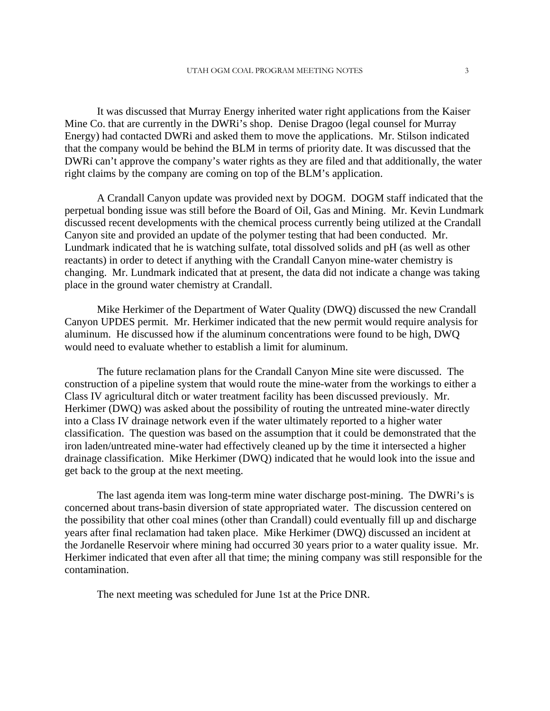It was discussed that Murray Energy inherited water right applications from the Kaiser Mine Co. that are currently in the DWRi's shop. Denise Dragoo (legal counsel for Murray Energy) had contacted DWRi and asked them to move the applications. Mr. Stilson indicated that the company would be behind the BLM in terms of priority date. It was discussed that the DWRi can't approve the company's water rights as they are filed and that additionally, the water right claims by the company are coming on top of the BLM's application.

 A Crandall Canyon update was provided next by DOGM. DOGM staff indicated that the perpetual bonding issue was still before the Board of Oil, Gas and Mining. Mr. Kevin Lundmark discussed recent developments with the chemical process currently being utilized at the Crandall Canyon site and provided an update of the polymer testing that had been conducted. Mr. Lundmark indicated that he is watching sulfate, total dissolved solids and pH (as well as other reactants) in order to detect if anything with the Crandall Canyon mine-water chemistry is changing. Mr. Lundmark indicated that at present, the data did not indicate a change was taking place in the ground water chemistry at Crandall.

 Mike Herkimer of the Department of Water Quality (DWQ) discussed the new Crandall Canyon UPDES permit. Mr. Herkimer indicated that the new permit would require analysis for aluminum. He discussed how if the aluminum concentrations were found to be high, DWQ would need to evaluate whether to establish a limit for aluminum.

 The future reclamation plans for the Crandall Canyon Mine site were discussed. The construction of a pipeline system that would route the mine-water from the workings to either a Class IV agricultural ditch or water treatment facility has been discussed previously. Mr. Herkimer (DWQ) was asked about the possibility of routing the untreated mine-water directly into a Class IV drainage network even if the water ultimately reported to a higher water classification. The question was based on the assumption that it could be demonstrated that the iron laden/untreated mine-water had effectively cleaned up by the time it intersected a higher drainage classification. Mike Herkimer (DWQ) indicated that he would look into the issue and get back to the group at the next meeting.

 The last agenda item was long-term mine water discharge post-mining. The DWRi's is concerned about trans-basin diversion of state appropriated water. The discussion centered on the possibility that other coal mines (other than Crandall) could eventually fill up and discharge years after final reclamation had taken place. Mike Herkimer (DWQ) discussed an incident at the Jordanelle Reservoir where mining had occurred 30 years prior to a water quality issue. Mr. Herkimer indicated that even after all that time; the mining company was still responsible for the contamination.

The next meeting was scheduled for June 1st at the Price DNR.